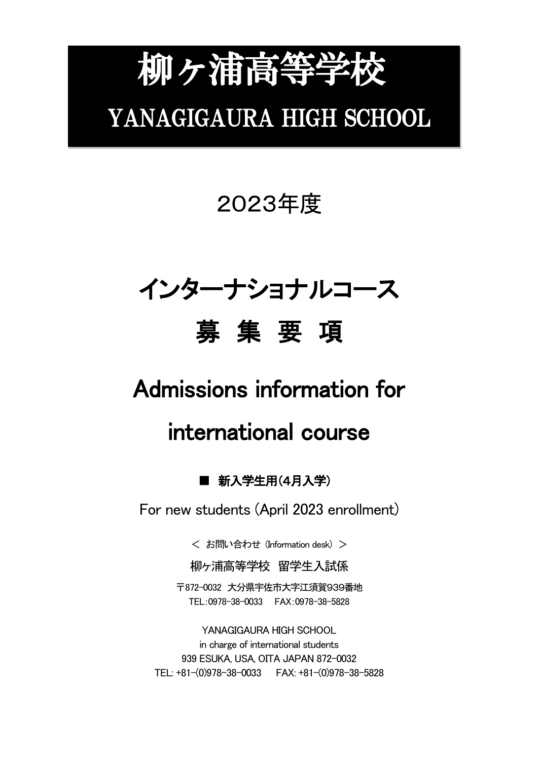# 柳ヶ浦高等学校 YANAGIGAURA HIGH SCHOOL

## 2023年度

## インターナショナルコース 募 集 要 項

## Admissions information for

## international course

### ■ 新入学生用(4月入学)

For new students (April 2023 enrollment)

< お問い合わせ (Information desk) >

柳ヶ浦高等学校 留学生入試係

〒872-0032 大分県宇佐市大字江須賀939番地 TEL:0978-38-0033 FAX:0978-38-5828

YANAGIGAURA HIGH SCHOOL in charge of international students 939 ESUKA, USA, OITA JAPAN 872-0032 TEL: +81-(0)978-38-0033 FAX: +81-(0)978-38-5828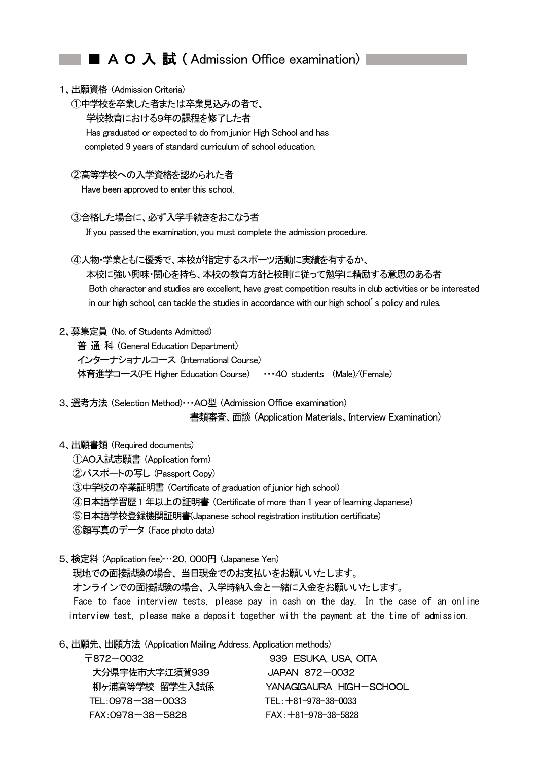#### ■ A O 入 試 (Admission Office examination)

#### 1、出願資格 (Admission Criteria)

- ①中学校を卒業した者または卒業見込みの者で、 学校教育における9年の課程を修了した者 Has graduated or expected to do from junior High School and has completed 9 years of standard curriculum of school education.
- ②高等学校への入学資格を認められた者

Have been approved to enter this school.

#### ③合格した場合に、必ず入学手続きをおこなう者

If you passed the examination, you must complete the admission procedure.

 ④人物・学業ともに優秀で、本校が指定するスポーツ活動に実績を有するか、 本校に強い興味・関心を持ち、本校の教育方針と校則に従って勉学に精励する意思のある者 Both character and studies are excellent, have great competition results in club activities or be interested in our high school, can tackle the studies in accordance with our high school's policy and rules.

#### 2、募集定員 (No. of Students Admitted)

普 通 科 (General Education Department) インターナショナルコース (International Course) 体育進学コース(PE Higher Education Course) ・・・40 students (Male)/(Female)

3、選考方法 (Selection Method)・・・AO型 (Admission Office examination) 書類審査、面談 (Application Materials、Interview Examination)

#### 4、出願書類 (Required documents)

- ①AO入試志願書 (Application form)
- ②パスポートの写し (Passport Copy)
- ③中学校の卒業証明書 (Certificate of graduation of junior high school)
- ④日本語学習歴1 年以上の証明書 (Certificate of more than 1 year of learning Japanese)

⑤日本語学校登録機関証明書(Japanese school registration institution certificate)

- ⑥顔写真のデータ (Face photo data)
- 5、検定料 (Application fee)…20,000円 (Japanese Yen)

 現地での面接試験の場合、当日現金でのお支払いをお願いいたします。 オンラインでの面接試験の場合、入学時納入金と一緒に入金をお願いいたします。

Face to face interview tests, please pay in cash on the day. In the case of an online interview test, please make a deposit together with the payment at the time of admission.

6、出願先、出願方法 (Application Mailing Address, Application methods)

| 〒872-0032         | 939 ESUKA, USA, OTTA     |  |  |
|-------------------|--------------------------|--|--|
| 大分県宇佐市大字江須賀939    | JAPAN 872-0032           |  |  |
| 柳ヶ浦高等学校 留学生入試係    | YANAGIGALJRA HIGH—SCHOOL |  |  |
| TEL: 0978-38-0033 | $TEL: +81-978-38-0033$   |  |  |
| FAX: 0978-38-5828 | $FAX: +81-978-38-5828$   |  |  |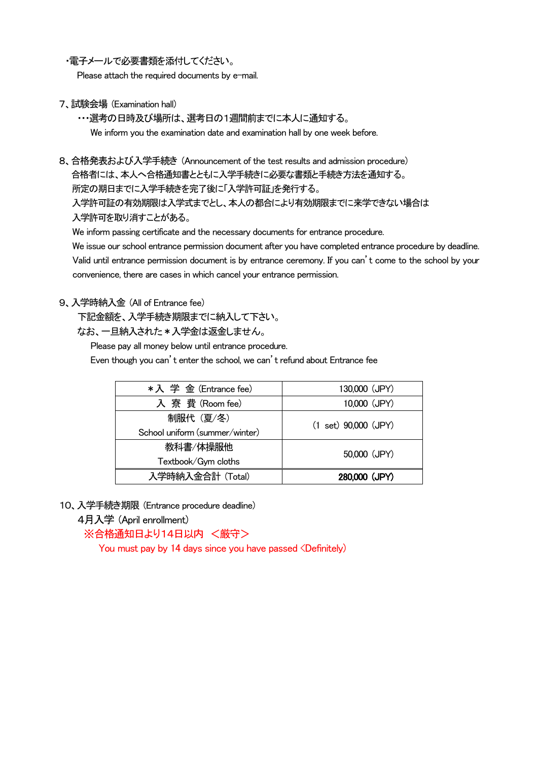・電子メールで必要書類を添付してください。

Please attach the required documents by e-mail.

7、試験会場 (Examination hall)

・・・選考の日時及び場所は、選考日の1週間前までに本人に通知する。 We inform you the examination date and examination hall by one week before.

8、合格発表および入学手続き (Announcement of the test results and admission procedure) 合格者には、本人へ合格通知書とともに入学手続きに必要な書類と手続き方法を通知する。 所定の期日までに入学手続きを完了後に「入学許可証」を発行する。 入学許可証の有効期限は入学式までとし、本人の都合により有効期限までに来学できない場合は

入学許可を取り消すことがある。

We inform passing certificate and the necessary documents for entrance procedure.

We issue our school entrance permission document after you have completed entrance procedure by deadline. Valid until entrance permission document is by entrance ceremony. If you can't come to the school by your convenience, there are cases in which cancel your entrance permission.

#### 9、入学時納入金 (All of Entrance fee)

下記金額を、入学手続き期限までに納入して下さい。

なお、一旦納入された \* 入学金は返金しません。

Please pay all money below until entrance procedure.

Even though you can't enter the school, we can't refund about Entrance fee

| *入 学 金 (Entrance fee)          | 130,000 (JPY)                    |  |
|--------------------------------|----------------------------------|--|
| 入 寮 費 (Room fee)               | 10,000 (JPY)                     |  |
| 制服代 (夏/冬)                      | $(1 \text{ set})$ 90,000 $(JPY)$ |  |
| School uniform (summer/winter) | 50,000 (JPY)                     |  |
| 教科書/体操服他                       |                                  |  |
| Textbook/Gym cloths            |                                  |  |
| 入学時納入金合計 (Total)               | 280,000 (JPY)                    |  |

10、入学手続き期限 (Entrance procedure deadline)

4月入学 (April enrollment)

※合格通知日より14日以内 <厳守>

You must pay by 14 days since you have passed <Definitely)